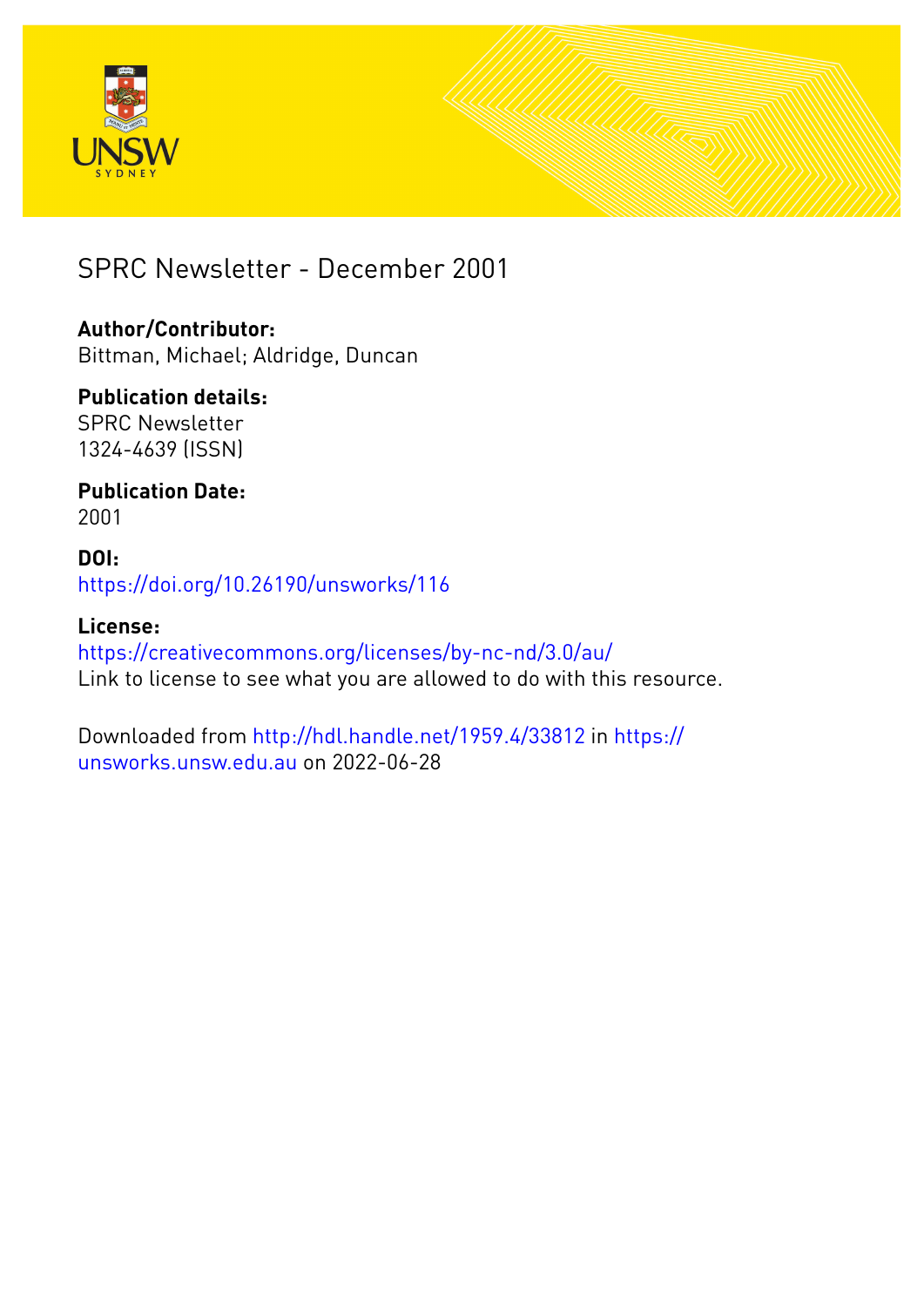



SPRC Newsletter - December 2001

### **Author/Contributor:**

Bittman, Michael; Aldridge, Duncan

### **Publication details:**

SPRC Newsletter 1324-4639 (ISSN)

### **Publication Date:** 2001

**DOI:** [https://doi.org/10.26190/unsworks/116](http://dx.doi.org/https://doi.org/10.26190/unsworks/116)

### **License:**

<https://creativecommons.org/licenses/by-nc-nd/3.0/au/> Link to license to see what you are allowed to do with this resource.

Downloaded from <http://hdl.handle.net/1959.4/33812> in [https://](https://unsworks.unsw.edu.au) [unsworks.unsw.edu.au](https://unsworks.unsw.edu.au) on 2022-06-28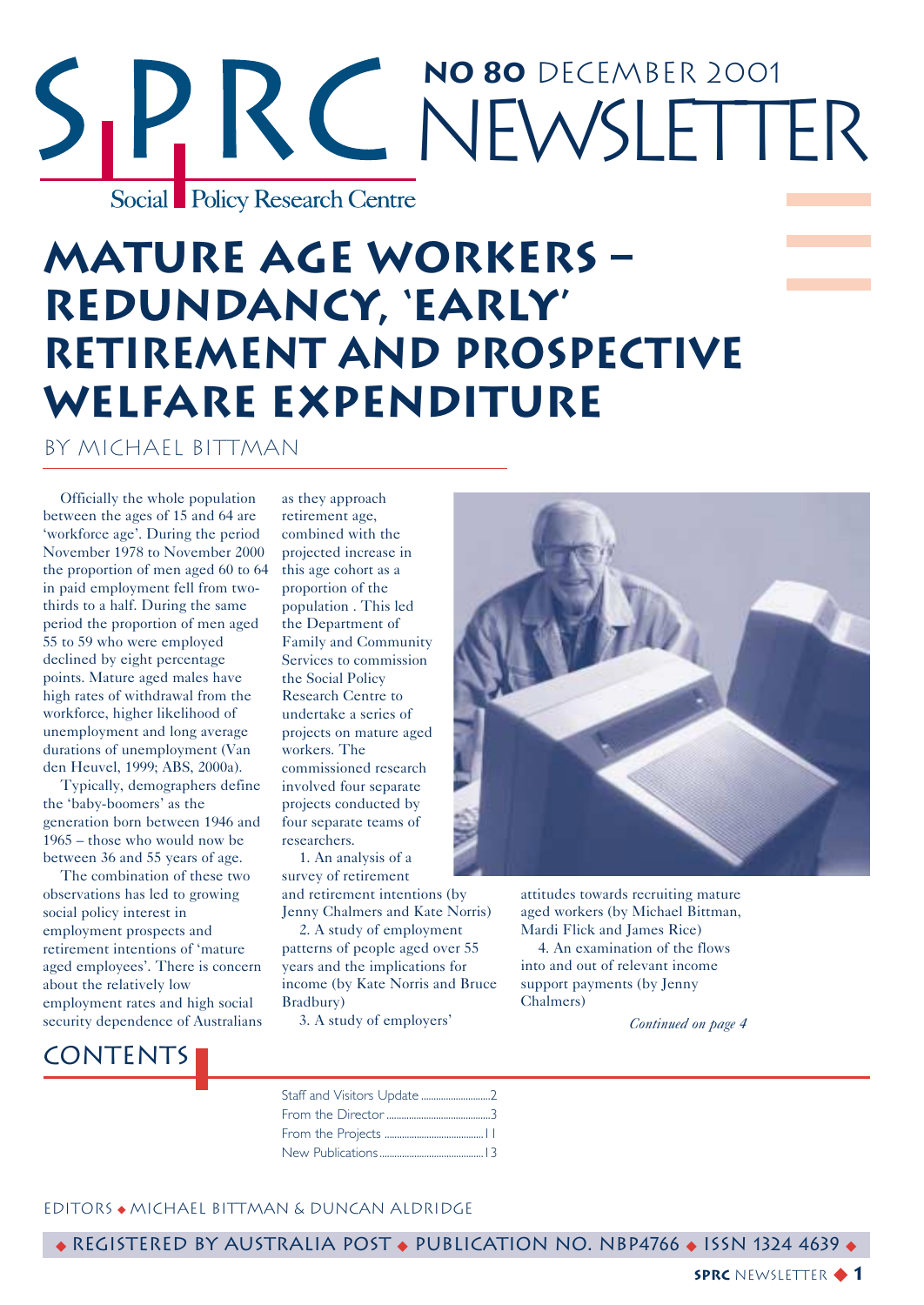## **No 80** December 2001 RC NEWSLETTER Social Policy Research Centre

### **Mature Age Workers – Redundancy, 'Early' Retirement and Prospective Welfare Expenditure**

by Michael Bittman

Officially the whole population between the ages of 15 and 64 are 'workforce age'. During the period November 1978 to November 2000 the proportion of men aged 60 to 64 in paid employment fell from twothirds to a half. During the same period the proportion of men aged 55 to 59 who were employed declined by eight percentage points. Mature aged males have high rates of withdrawal from the workforce, higher likelihood of unemployment and long average durations of unemployment (Van den Heuvel, 1999; ABS, 2000a).

Typically, demographers define the 'baby-boomers' as the generation born between 1946 and 1965 – those who would now be between 36 and 55 years of age.

The combination of these two observations has led to growing social policy interest in employment prospects and retirement intentions of 'mature aged employees'. There is concern about the relatively low employment rates and high social security dependence of Australians

### **CONTENTS**

as they approach retirement age, combined with the projected increase in this age cohort as a proportion of the population . This led the Department of Family and Community Services to commission the Social Policy Research Centre to undertake a series of projects on mature aged workers. The commissioned research involved four separate projects conducted by four separate teams of researchers.

1. An analysis of a survey of retirement and retirement intentions (by Jenny Chalmers and Kate Norris)

2. A study of employment patterns of people aged over 55 years and the implications for income (by Kate Norris and Bruce Bradbury)

3. A study of employers'



attitudes towards recruiting mature aged workers (by Michael Bittman, Mardi Flick and James Rice)

4. An examination of the flows into and out of relevant income support payments (by Jenny Chalmers)

*Continued on page 4*



#### EditorS ◆ Michael Bittman & Duncan Aldridge

◆ Registered by Australia Post ◆ Publication No. NBP4766 ◆ ISSN 1324 4639 ◆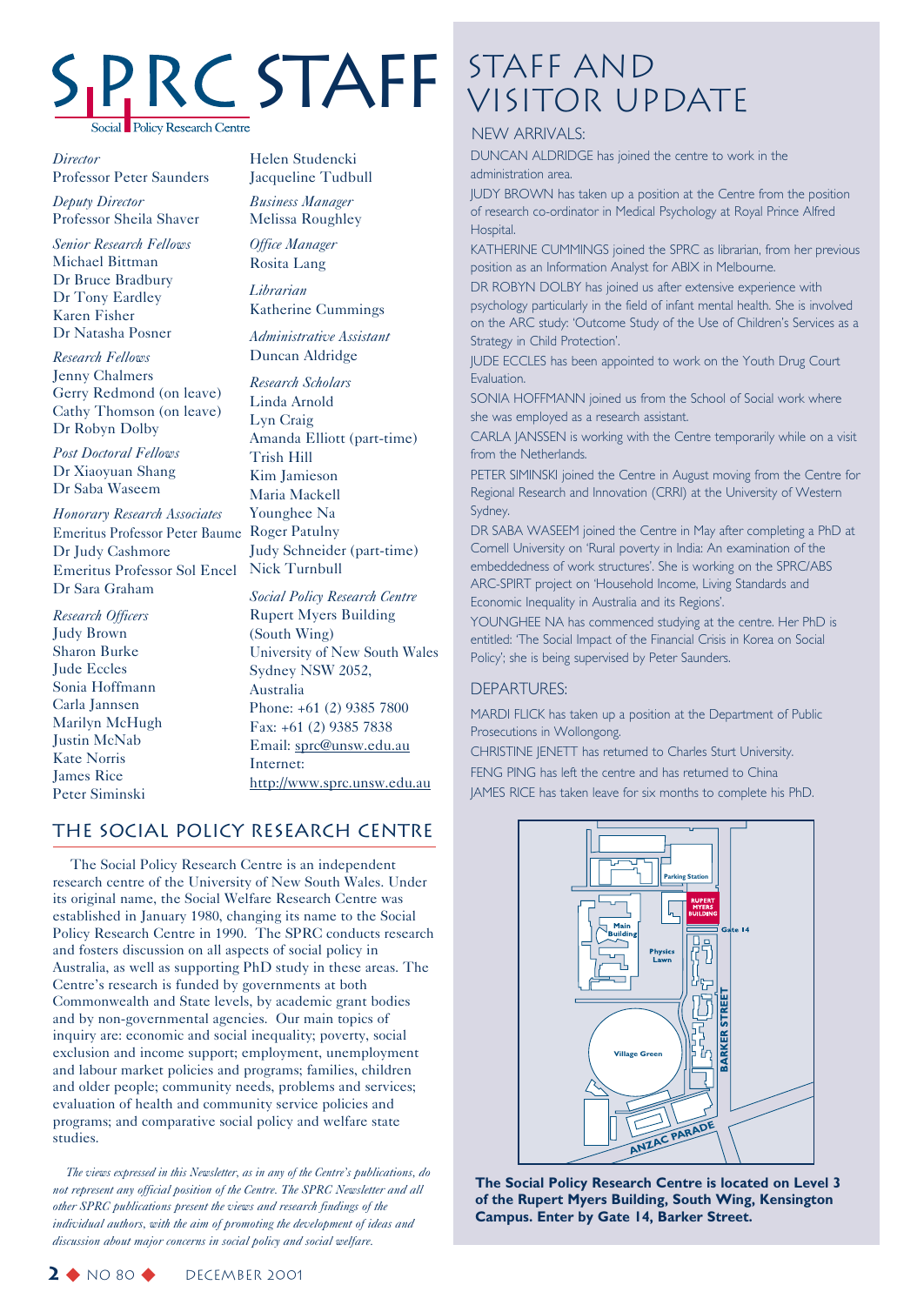# **Policy Research Centre**

*Director* Professor Peter Saunders

*Deputy Director* Professor Sheila Shaver

*Senior Research Fellows* Michael Bittman Dr Bruce Bradbury Dr Tony Eardley Karen Fisher Dr Natasha Posner

*Research Fellows* Jenny Chalmers Gerry Redmond (on leave) Cathy Thomson (on leave) Dr Robyn Dolby

*Post Doctoral Fellows* Dr Xiaoyuan Shang Dr Saba Waseem

*Honorary Research Associates* Emeritus Professor Peter Baume Roger Patulny Dr Judy Cashmore Emeritus Professor Sol Encel Nick Turnbull Dr Sara Graham

*Research Officers* Judy Brown Sharon Burke Jude Eccles Sonia Hoffmann Carla Jannsen Marilyn McHugh Justin McNab Kate Norris James Rice Peter Siminski

Helen Studencki Jacqueline Tudbull

*Business Manager* Melissa Roughley

*Office Manager* Rosita Lang

*Librarian* Katherine Cummings

*Administrative Assistant* Duncan Aldridge

*Research Scholars* Linda Arnold Lyn Craig Amanda Elliott (part-time) Trish Hill Kim Jamieson Maria Mackell Younghee Na Judy Schneider (part-time)

*Social Policy Research Centre* Rupert Myers Building (South Wing) University of New South Wales Sydney NSW 2052, Australia Phone: +61 (2) 9385 7800 Fax: +61 (2) 9385 7838 Email: sprc@unsw.edu.au Internet: http://www.sprc.unsw.edu.au

### The Social Policy Research Centre

The Social Policy Research Centre is an independent research centre of the University of New South Wales. Under its original name, the Social Welfare Research Centre was established in January 1980, changing its name to the Social Policy Research Centre in 1990. The SPRC conducts research and fosters discussion on all aspects of social policy in Australia, as well as supporting PhD study in these areas. The Centre's research is funded by governments at both Commonwealth and State levels, by academic grant bodies and by non-governmental agencies. Our main topics of inquiry are: economic and social inequality; poverty, social exclusion and income support; employment, unemployment and labour market policies and programs; families, children and older people; community needs, problems and services; evaluation of health and community service policies and programs; and comparative social policy and welfare state studies.

*The views expressed in this Newsletter, as in any of the Centre's publications, do not represent any official position of the Centre. The SPRC Newsletter and all other SPRC publications present the views and research findings of the individual authors, with the aim of promoting the development of ideas and discussion about major concerns in social policy and social welfare.*

### Staff and STAFF STAFF AND

### NEW ARRIVALS:

DUNCAN ALDRIDGE has joined the centre to work in the administration area.

JUDY BROWN has taken up a position at the Centre from the position of research co-ordinator in Medical Psychology at Royal Prince Alfred Hospital.

KATHERINE CUMMINGS joined the SPRC as librarian, from her previous position as an Information Analyst for ABIX in Melbourne.

DR ROBYN DOLBY has joined us after extensive experience with psychology particularly in the field of infant mental health. She is involved on the ARC study: 'Outcome Study of the Use of Children's Services as a Strategy in Child Protection'.

JUDE ECCLES has been appointed to work on the Youth Drug Court Evaluation.

SONIA HOFFMANN joined us from the School of Social work where she was employed as a research assistant.

CARLA JANSSEN is working with the Centre temporarily while on a visit from the Netherlands.

PETER SIMINSKI joined the Centre in August moving from the Centre for Regional Research and Innovation (CRRI) at the University of Western Sydney.

DR SABA WASEEM joined the Centre in May after completing a PhD at Cornell University on 'Rural poverty in India: An examination of the embeddedness of work structures'. She is working on the SPRC/ABS ARC-SPIRT project on 'Household Income, Living Standards and Economic Inequality in Australia and its Regions'.

YOUNGHEE NA has commenced studying at the centre. Her PhD is entitled: 'The Social Impact of the Financial Crisis in Korea on Social Policy'; she is being supervised by Peter Saunders.

### DEPARTURES:

MARDI FLICK has taken up a position at the Department of Public Prosecutions in Wollongong.

CHRISTINE JENETT has returned to Charles Sturt University. FENG PING has left the centre and has returned to China JAMES RICE has taken leave for six months to complete his PhD.



**The Social Policy Research Centre is located on Level 3 of the Rupert Myers Building, South Wing, Kensington Campus. Enter by Gate 14, Barker Street.**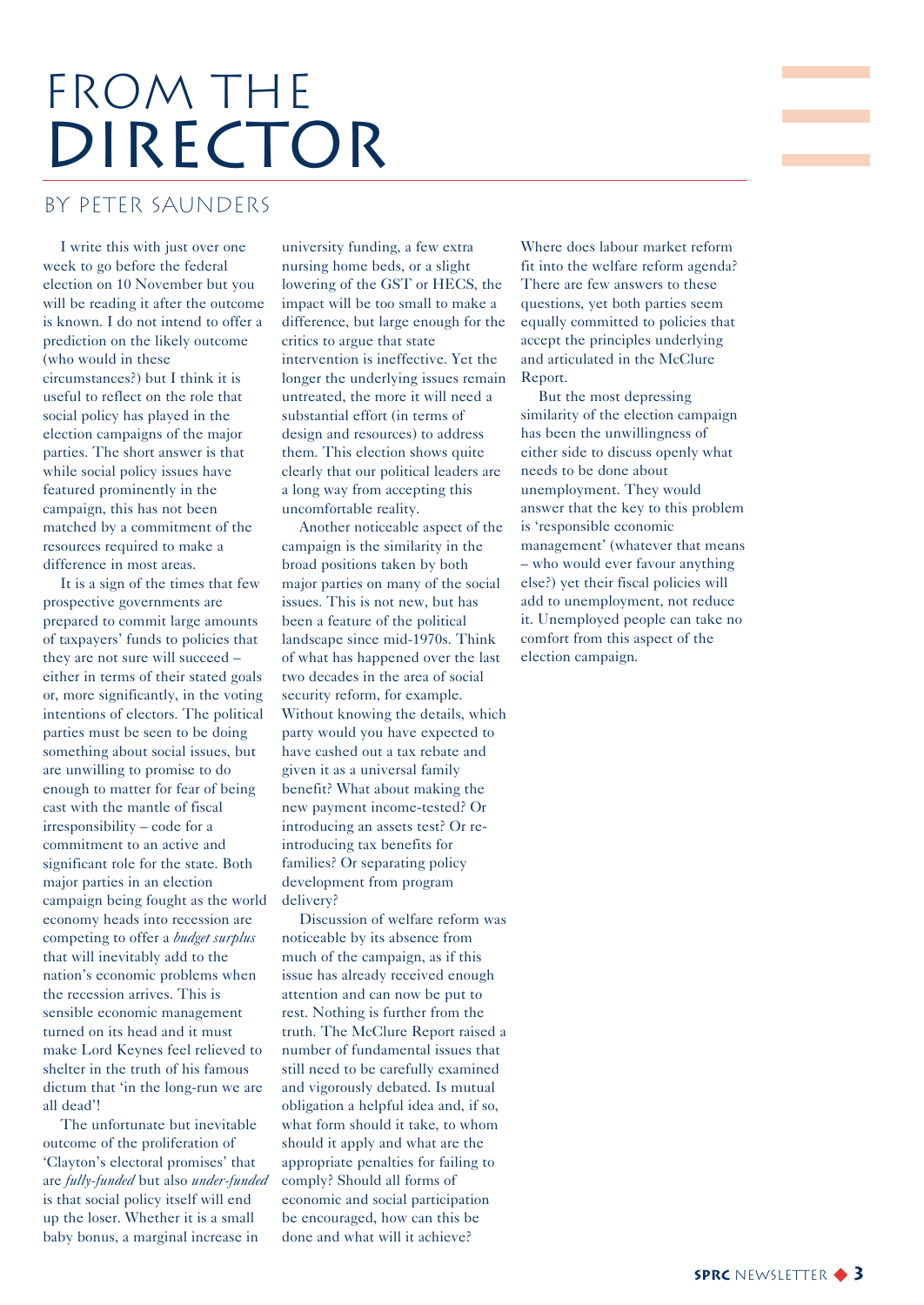## FROM THE DIRECTOR

### by Peter Saunders

I write this with just over one week to go before the federal election on 10 November but you will be reading it after the outcome is known. I do not intend to offer a prediction on the likely outcome (who would in these circumstances?) but I think it is useful to reflect on the role that social policy has played in the election campaigns of the major parties. The short answer is that while social policy issues have featured prominently in the campaign, this has not been matched by a commitment of the resources required to make a difference in most areas.

It is a sign of the times that few prospective governments are prepared to commit large amounts of taxpayers' funds to policies that they are not sure will succeed – either in terms of their stated goals or, more significantly, in the voting intentions of electors. The political parties must be seen to be doing something about social issues, but are unwilling to promise to do enough to matter for fear of being cast with the mantle of fiscal irresponsibility – code for a commitment to an active and significant role for the state. Both major parties in an election campaign being fought as the world economy heads into recession are competing to offer a *budget surplus* that will inevitably add to the nation's economic problems when the recession arrives. This is sensible economic management turned on its head and it must make Lord Keynes feel relieved to shelter in the truth of his famous dictum that 'in the long-run we are all dead'!

The unfortunate but inevitable outcome of the proliferation of 'Clayton's electoral promises' that are *fully-funded* but also *under-funded* is that social policy itself will end up the loser. Whether it is a small baby bonus, a marginal increase in

university funding, a few extra nursing home beds, or a slight lowering of the GST or HECS, the impact will be too small to make a difference, but large enough for the critics to argue that state intervention is ineffective. Yet the longer the underlying issues remain untreated, the more it will need a substantial effort (in terms of design and resources) to address them. This election shows quite clearly that our political leaders are a long way from accepting this uncomfortable reality.

Another noticeable aspect of the campaign is the similarity in the broad positions taken by both major parties on many of the social issues. This is not new, but has been a feature of the political landscape since mid-1970s. Think of what has happened over the last two decades in the area of social security reform, for example. Without knowing the details, which party would you have expected to have cashed out a tax rebate and given it as a universal family benefit? What about making the new payment income-tested? Or introducing an assets test? Or reintroducing tax benefits for families? Or separating policy development from program delivery?

Discussion of welfare reform was noticeable by its absence from much of the campaign, as if this issue has already received enough attention and can now be put to rest. Nothing is further from the truth. The McClure Report raised a number of fundamental issues that still need to be carefully examined and vigorously debated. Is mutual obligation a helpful idea and, if so, what form should it take, to whom should it apply and what are the appropriate penalties for failing to comply? Should all forms of economic and social participation be encouraged, how can this be done and what will it achieve?

Where does labour market reform fit into the welfare reform agenda? There are few answers to these questions, yet both parties seem equally committed to policies that accept the principles underlying and articulated in the McClure Report.

**Contract Contract Contract** 

But the most depressing similarity of the election campaign has been the unwillingness of either side to discuss openly what needs to be done about unemployment. They would answer that the key to this problem is 'responsible economic management' (whatever that means – who would ever favour anything else?) yet their fiscal policies will add to unemployment, not reduce it. Unemployed people can take no comfort from this aspect of the election campaign.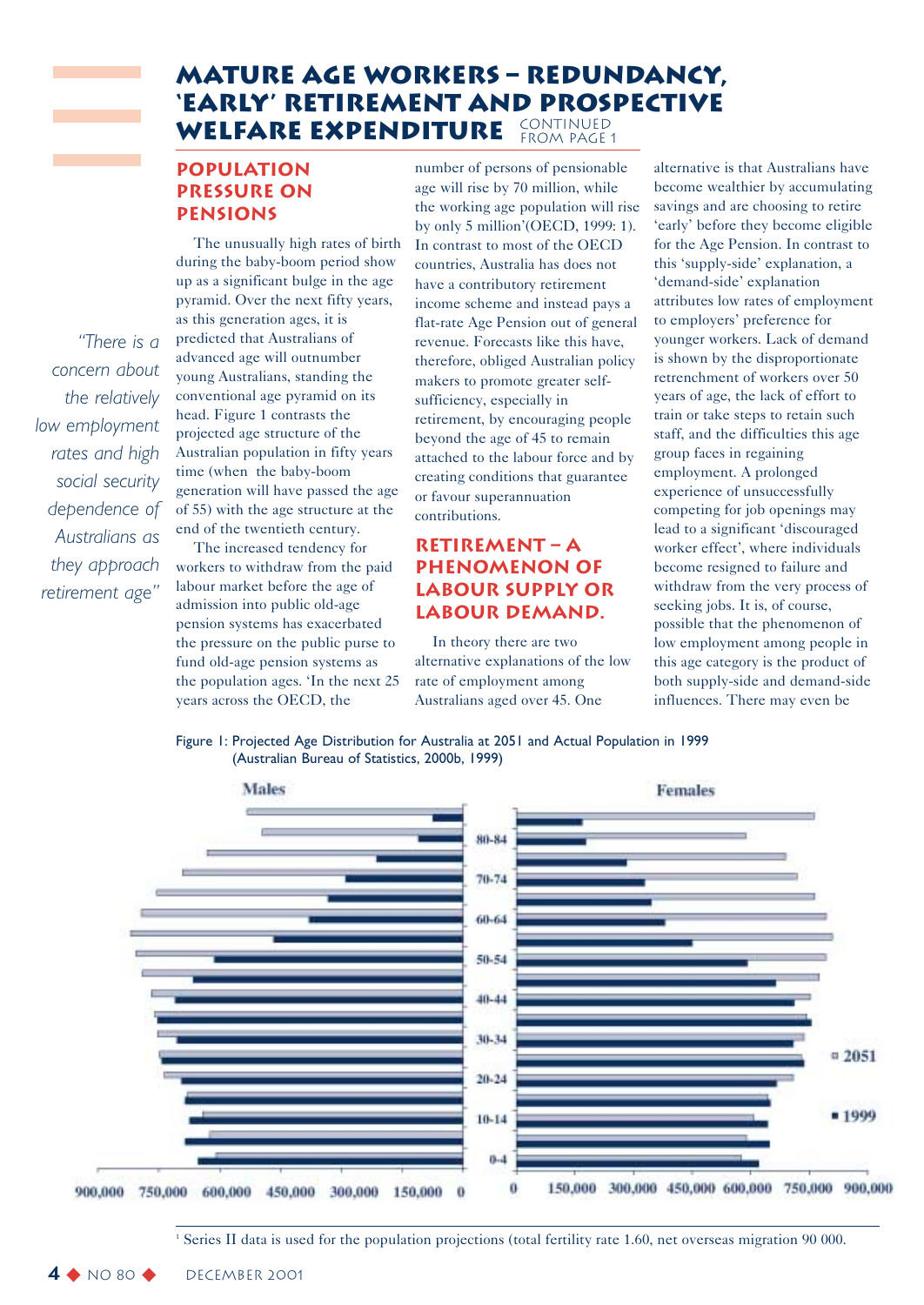### **Mature Age Workers – Redundancy, 'Early' Retirement and Prospective Welfare Expenditure** continued FROM PAGE 1

### **Population pressure on pensions**

*"There is a concern about the relatively*

*low employment rates and high social security dependence of Australians as they approach retirement age"*

The unusually high rates of birth during the baby-boom period show up as a significant bulge in the age pyramid. Over the next fifty years, as this generation ages, it is predicted that Australians of advanced age will outnumber young Australians, standing the conventional age pyramid on its head. Figure 1 contrasts the projected age structure of the Australian population in fifty years time (when the baby-boom generation will have passed the age of 55) with the age structure at the end of the twentieth century.

The increased tendency for workers to withdraw from the paid labour market before the age of admission into public old-age pension systems has exacerbated the pressure on the public purse to fund old-age pension systems as the population ages. 'In the next 25 years across the OECD, the

number of persons of pensionable age will rise by 70 million, while the working age population will rise by only 5 million'(OECD, 1999: 1). In contrast to most of the OECD countries, Australia has does not have a contributory retirement income scheme and instead pays a flat-rate Age Pension out of general revenue. Forecasts like this have, therefore, obliged Australian policy makers to promote greater selfsufficiency, especially in retirement, by encouraging people beyond the age of 45 to remain attached to the labour force and by creating conditions that guarantee or favour superannuation contributions.

### **Retirement – a phenomenon of labour supply or labour demand.**

In theory there are two alternative explanations of the low rate of employment among Australians aged over 45. One

alternative is that Australians have become wealthier by accumulating savings and are choosing to retire 'early' before they become eligible for the Age Pension. In contrast to this 'supply-side' explanation, a 'demand-side' explanation attributes low rates of employment to employers' preference for younger workers. Lack of demand is shown by the disproportionate retrenchment of workers over 50 years of age, the lack of effort to train or take steps to retain such staff, and the difficulties this age group faces in regaining employment. A prolonged experience of unsuccessfully competing for job openings may lead to a significant 'discouraged worker effect', where individuals become resigned to failure and withdraw from the very process of seeking jobs. It is, of course, possible that the phenomenon of low employment among people in this age category is the product of both supply-side and demand-side influences. There may even be

Figure 1: Projected Age Distribution for Australia at 2051 and Actual Population in 1999 (Australian Bureau of Statistics, 2000b, 1999)



<sup>1</sup> Series II data is used for the population projections (total fertility rate 1.60, net overseas migration 90 000.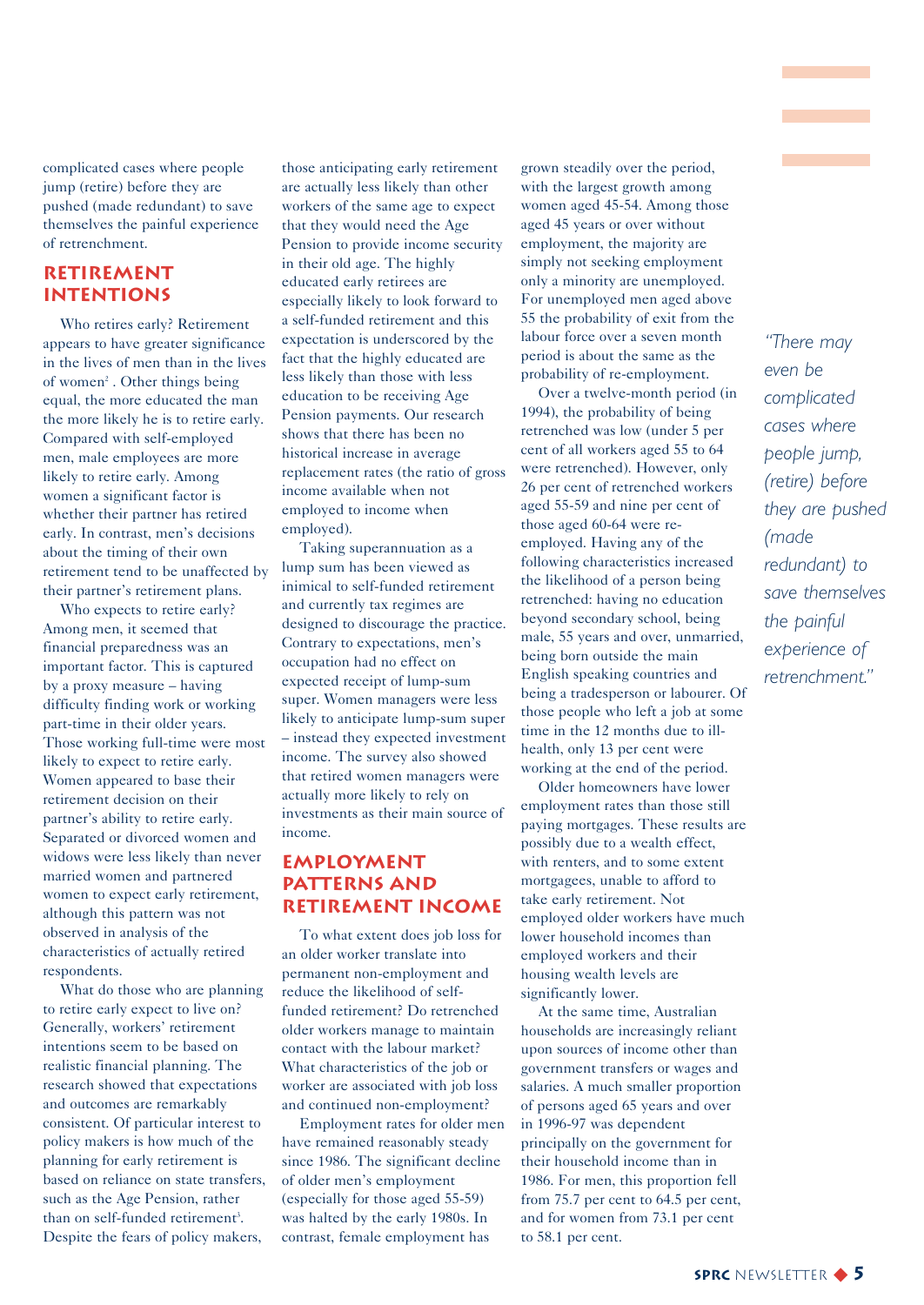complicated cases where people jump (retire) before they are pushed (made redundant) to save themselves the painful experience of retrenchment.

### **Retirement intentions**

Who retires early? Retirement appears to have greater significance in the lives of men than in the lives of women<sup>2</sup>. Other things being equal, the more educated the man the more likely he is to retire early. Compared with self-employed men, male employees are more likely to retire early. Among women a significant factor is whether their partner has retired early. In contrast, men's decisions about the timing of their own retirement tend to be unaffected by their partner's retirement plans.

Who expects to retire early? Among men, it seemed that financial preparedness was an important factor. This is captured by a proxy measure – having difficulty finding work or working part-time in their older years. Those working full-time were most likely to expect to retire early. Women appeared to base their retirement decision on their partner's ability to retire early. Separated or divorced women and widows were less likely than never married women and partnered women to expect early retirement, although this pattern was not observed in analysis of the characteristics of actually retired respondents.

What do those who are planning to retire early expect to live on? Generally, workers' retirement intentions seem to be based on realistic financial planning. The research showed that expectations and outcomes are remarkably consistent. Of particular interest to policy makers is how much of the planning for early retirement is based on reliance on state transfers, such as the Age Pension, rather than on self-funded retirement<sup>3</sup>. Despite the fears of policy makers,

those anticipating early retirement are actually less likely than other workers of the same age to expect that they would need the Age Pension to provide income security in their old age. The highly educated early retirees are especially likely to look forward to a self-funded retirement and this expectation is underscored by the fact that the highly educated are less likely than those with less education to be receiving Age Pension payments. Our research shows that there has been no historical increase in average replacement rates (the ratio of gross income available when not employed to income when employed).

Taking superannuation as a lump sum has been viewed as inimical to self-funded retirement and currently tax regimes are designed to discourage the practice. Contrary to expectations, men's occupation had no effect on expected receipt of lump-sum super. Women managers were less likely to anticipate lump-sum super – instead they expected investment income. The survey also showed that retired women managers were actually more likely to rely on investments as their main source of income.

### **Employment patterns and retirement income**

To what extent does job loss for an older worker translate into permanent non-employment and reduce the likelihood of selffunded retirement? Do retrenched older workers manage to maintain contact with the labour market? What characteristics of the job or worker are associated with job loss and continued non-employment?

Employment rates for older men have remained reasonably steady since 1986. The significant decline of older men's employment (especially for those aged 55-59) was halted by the early 1980s. In contrast, female employment has

grown steadily over the period, with the largest growth among women aged 45-54. Among those aged 45 years or over without employment, the majority are simply not seeking employment only a minority are unemployed. For unemployed men aged above 55 the probability of exit from the labour force over a seven month period is about the same as the probability of re-employment.

Over a twelve-month period (in 1994), the probability of being retrenched was low (under 5 per cent of all workers aged 55 to 64 were retrenched). However, only 26 per cent of retrenched workers aged 55-59 and nine per cent of those aged 60-64 were reemployed. Having any of the following characteristics increased the likelihood of a person being retrenched: having no education beyond secondary school, being male, 55 years and over, unmarried, being born outside the main English speaking countries and being a tradesperson or labourer. Of those people who left a job at some time in the 12 months due to illhealth, only 13 per cent were working at the end of the period.

Older homeowners have lower employment rates than those still paying mortgages. These results are possibly due to a wealth effect, with renters, and to some extent mortgagees, unable to afford to take early retirement. Not employed older workers have much lower household incomes than employed workers and their housing wealth levels are significantly lower.

At the same time, Australian households are increasingly reliant upon sources of income other than government transfers or wages and salaries. A much smaller proportion of persons aged 65 years and over in 1996-97 was dependent principally on the government for their household income than in 1986. For men, this proportion fell from 75.7 per cent to 64.5 per cent, and for women from 73.1 per cent to 58.1 per cent.

*"There may even be complicated cases where people jump, (retire) before they are pushed (made redundant) to save themselves the painful experience of retrenchment."*

**Contract Contract**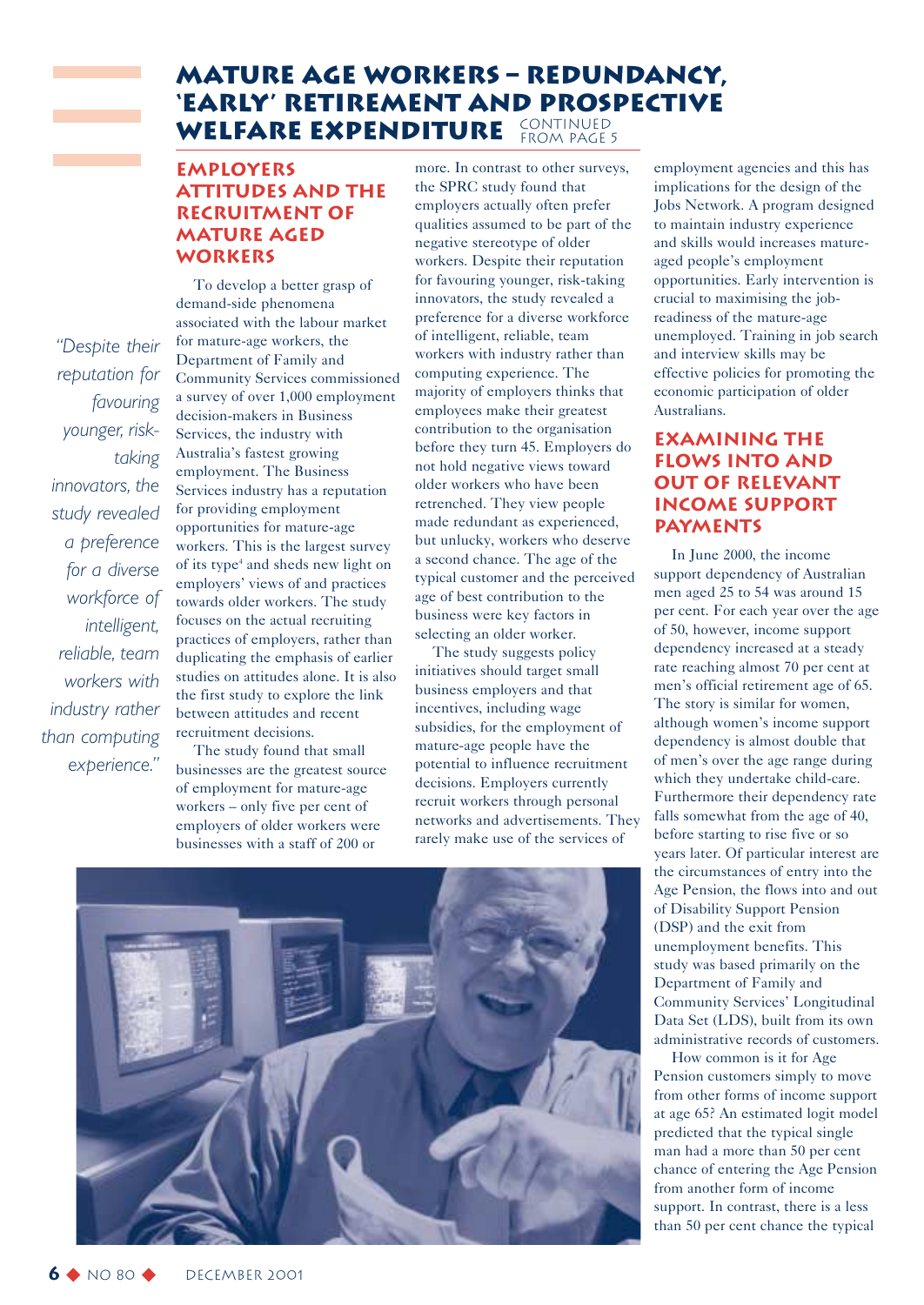### **Mature Age Workers – Redundancy, 'Early' Retirement and Prospective** WELFARE EXPENDITURE CONTINUED FROM PAGE 5

### **Employers attitudes and the recruitment of mature aged workers**

*"Despite their reputation for favouring younger, risktaking innovators, the study revealed a preference for a diverse workforce of intelligent, reliable, team workers with industry rather than computing experience."*

To develop a better grasp of demand-side phenomena associated with the labour market for mature-age workers, the Department of Family and Community Services commissioned a survey of over 1,000 employment decision-makers in Business Services, the industry with Australia's fastest growing employment. The Business Services industry has a reputation for providing employment opportunities for mature-age workers. This is the largest survey of its type<sup>4</sup> and sheds new light on employers' views of and practices towards older workers. The study focuses on the actual recruiting practices of employers, rather than duplicating the emphasis of earlier studies on attitudes alone. It is also the first study to explore the link between attitudes and recent recruitment decisions.

The study found that small businesses are the greatest source of employment for mature-age workers – only five per cent of employers of older workers were businesses with a staff of 200 or

more. In contrast to other surveys, the SPRC study found that employers actually often prefer qualities assumed to be part of the negative stereotype of older workers. Despite their reputation for favouring younger, risk-taking innovators, the study revealed a preference for a diverse workforce of intelligent, reliable, team workers with industry rather than computing experience. The majority of employers thinks that employees make their greatest contribution to the organisation before they turn 45. Employers do not hold negative views toward older workers who have been retrenched. They view people made redundant as experienced, but unlucky, workers who deserve a second chance. The age of the typical customer and the perceived age of best contribution to the business were key factors in selecting an older worker.

The study suggests policy initiatives should target small business employers and that incentives, including wage subsidies, for the employment of mature-age people have the potential to influence recruitment decisions. Employers currently recruit workers through personal networks and advertisements. They rarely make use of the services of



employment agencies and this has implications for the design of the Jobs Network. A program designed to maintain industry experience and skills would increases matureaged people's employment opportunities. Early intervention is crucial to maximising the jobreadiness of the mature-age unemployed. Training in job search and interview skills may be effective policies for promoting the economic participation of older Australians.

### **Examining the flows into and out of relevant income support payments**

In June 2000, the income support dependency of Australian men aged 25 to 54 was around 15 per cent. For each year over the age of 50, however, income support dependency increased at a steady rate reaching almost 70 per cent at men's official retirement age of 65. The story is similar for women, although women's income support dependency is almost double that of men's over the age range during which they undertake child-care. Furthermore their dependency rate falls somewhat from the age of 40, before starting to rise five or so years later. Of particular interest are the circumstances of entry into the Age Pension, the flows into and out of Disability Support Pension (DSP) and the exit from unemployment benefits. This study was based primarily on the Department of Family and Community Services' Longitudinal Data Set (LDS), built from its own administrative records of customers.

How common is it for Age Pension customers simply to move from other forms of income support at age 65? An estimated logit model predicted that the typical single man had a more than 50 per cent chance of entering the Age Pension from another form of income support. In contrast, there is a less than 50 per cent chance the typical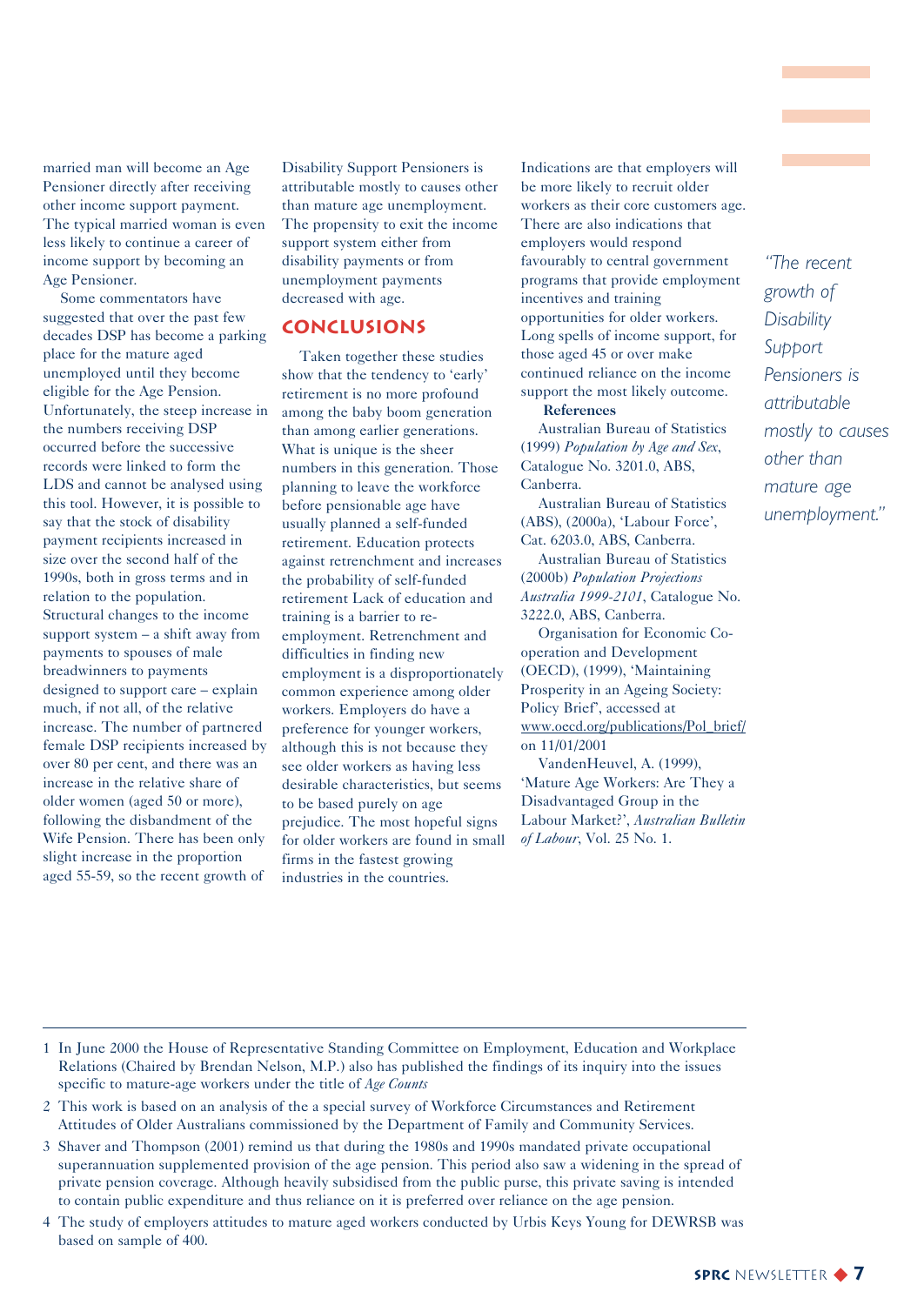married man will become an Age Pensioner directly after receiving other income support payment. The typical married woman is even less likely to continue a career of income support by becoming an Age Pensioner.

Some commentators have suggested that over the past few decades DSP has become a parking place for the mature aged unemployed until they become eligible for the Age Pension. Unfortunately, the steep increase in the numbers receiving DSP occurred before the successive records were linked to form the LDS and cannot be analysed using this tool. However, it is possible to say that the stock of disability payment recipients increased in size over the second half of the 1990s, both in gross terms and in relation to the population. Structural changes to the income support system – a shift away from payments to spouses of male breadwinners to payments designed to support care – explain much, if not all, of the relative increase. The number of partnered female DSP recipients increased by over 80 per cent, and there was an increase in the relative share of older women (aged 50 or more), following the disbandment of the Wife Pension. There has been only slight increase in the proportion aged 55-59, so the recent growth of

Disability Support Pensioners is attributable mostly to causes other than mature age unemployment. The propensity to exit the income support system either from disability payments or from unemployment payments decreased with age.

### **Conclusions**

Taken together these studies show that the tendency to 'early' retirement is no more profound among the baby boom generation than among earlier generations. What is unique is the sheer numbers in this generation. Those planning to leave the workforce before pensionable age have usually planned a self-funded retirement. Education protects against retrenchment and increases the probability of self-funded retirement Lack of education and training is a barrier to reemployment. Retrenchment and difficulties in finding new employment is a disproportionately common experience among older workers. Employers do have a preference for younger workers, although this is not because they see older workers as having less desirable characteristics, but seems to be based purely on age prejudice. The most hopeful signs for older workers are found in small firms in the fastest growing industries in the countries.

Indications are that employers will be more likely to recruit older workers as their core customers age. There are also indications that employers would respond favourably to central government programs that provide employment incentives and training opportunities for older workers. Long spells of income support, for those aged 45 or over make continued reliance on the income support the most likely outcome.

**References**

Australian Bureau of Statistics (1999) *Population by Age and Sex*, Catalogue No. 3201.0, ABS, Canberra.

Australian Bureau of Statistics (ABS), (2000a), 'Labour Force', Cat. 6203.0, ABS, Canberra.

Australian Bureau of Statistics (2000b) *Population Projections Australia 1999-2101*, Catalogue No. 3222.0, ABS, Canberra.

Organisation for Economic Cooperation and Development (OECD), (1999), 'Maintaining Prosperity in an Ageing Society: Policy Brief', accessed at www.oecd.org/publications/Pol\_brief/ on 11/01/2001

VandenHeuvel, A. (1999), 'Mature Age Workers: Are They a Disadvantaged Group in the Labour Market?', *Australian Bulletin of Labour*, Vol. 25 No. 1.

*"The recent growth of Disability Support Pensioners is attributable mostly to causes other than mature age unemployment."*

1 In June 2000 the House of Representative Standing Committee on Employment, Education and Workplace Relations (Chaired by Brendan Nelson, M.P.) also has published the findings of its inquiry into the issues specific to mature-age workers under the title of *Age Counts*

- 2 This work is based on an analysis of the a special survey of Workforce Circumstances and Retirement Attitudes of Older Australians commissioned by the Department of Family and Community Services.
- 3 Shaver and Thompson (2001) remind us that during the 1980s and 1990s mandated private occupational superannuation supplemented provision of the age pension. This period also saw a widening in the spread of private pension coverage. Although heavily subsidised from the public purse, this private saving is intended to contain public expenditure and thus reliance on it is preferred over reliance on the age pension.
- 4 The study of employers attitudes to mature aged workers conducted by Urbis Keys Young for DEWRSB was based on sample of 400.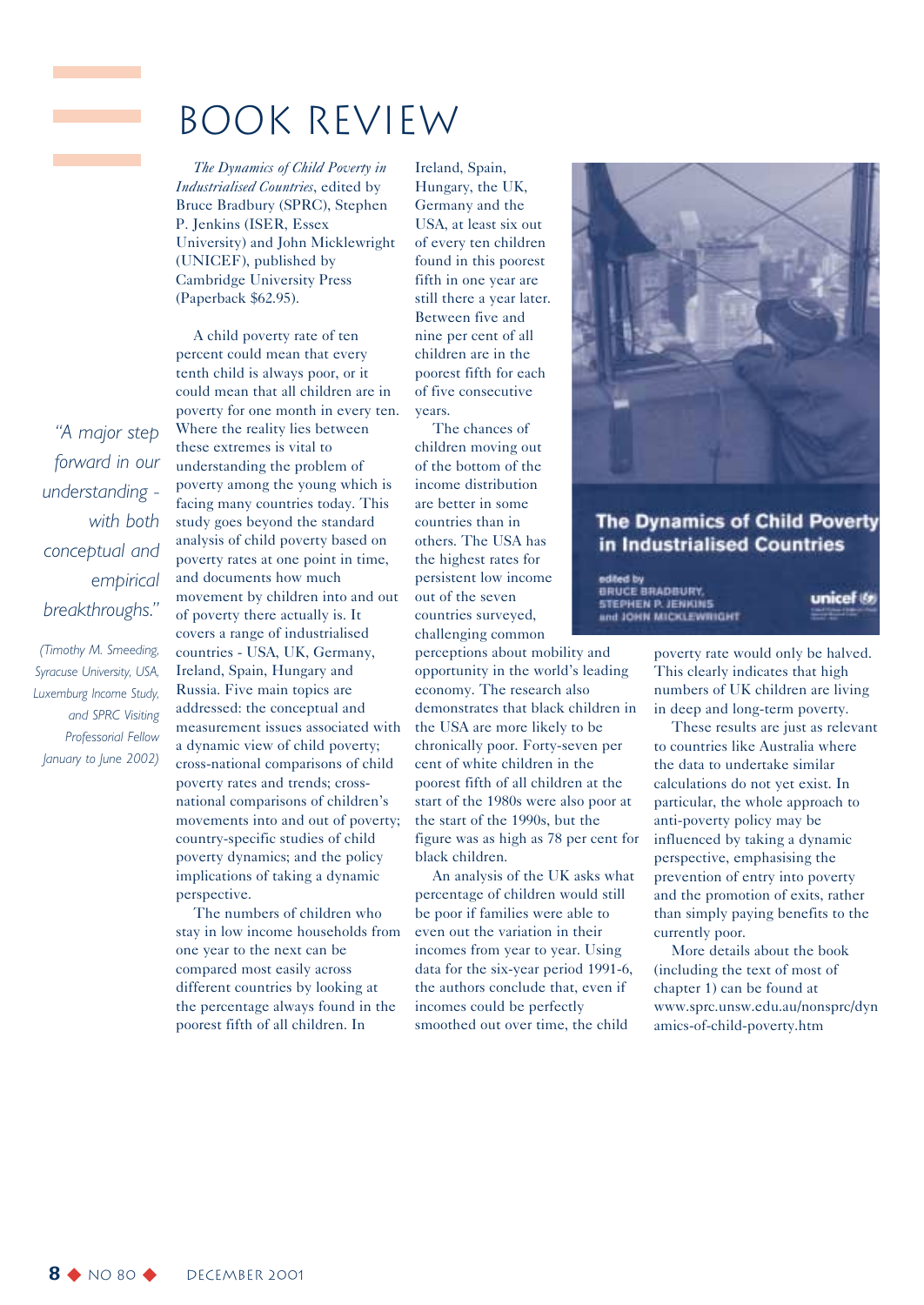### Book Review

*The Dynamics of Child Poverty in Industrialised Countries*, edited by Bruce Bradbury (SPRC), Stephen P. Jenkins (ISER, Essex University) and John Micklewright (UNICEF), published by Cambridge University Press (Paperback \$62.95).

A child poverty rate of ten percent could mean that every tenth child is always poor, or it could mean that all children are in poverty for one month in every ten. Where the reality lies between these extremes is vital to understanding the problem of poverty among the young which is facing many countries today. This study goes beyond the standard analysis of child poverty based on poverty rates at one point in time, and documents how much movement by children into and out of poverty there actually is. It covers a range of industrialised countries - USA, UK, Germany, Ireland, Spain, Hungary and Russia. Five main topics are addressed: the conceptual and measurement issues associated with a dynamic view of child poverty; cross-national comparisons of child poverty rates and trends; crossnational comparisons of children's movements into and out of poverty; country-specific studies of child poverty dynamics; and the policy implications of taking a dynamic perspective.

The numbers of children who stay in low income households from one year to the next can be compared most easily across different countries by looking at the percentage always found in the poorest fifth of all children. In

Ireland, Spain, Hungary, the UK, Germany and the USA, at least six out of every ten children found in this poorest fifth in one year are still there a year later. Between five and nine per cent of all children are in the poorest fifth for each of five consecutive years.

The chances of children moving out of the bottom of the income distribution are better in some countries than in others. The USA has the highest rates for persistent low income out of the seven countries surveyed, challenging common

perceptions about mobility and opportunity in the world's leading economy. The research also demonstrates that black children in the USA are more likely to be chronically poor. Forty-seven per cent of white children in the poorest fifth of all children at the start of the 1980s were also poor at the start of the 1990s, but the figure was as high as 78 per cent for black children.

An analysis of the UK asks what percentage of children would still be poor if families were able to even out the variation in their incomes from year to year. Using data for the six-year period 1991-6, the authors conclude that, even if incomes could be perfectly smoothed out over time, the child



### **The Dynamics of Child Poverty** in Industrialised Countries

edited by<br>BRUCE BRADBURY, STEPHEN P. JENKINS and JOHN MICKLEWINGHT

unicef

poverty rate would only be halved. This clearly indicates that high numbers of UK children are living in deep and long-term poverty.

These results are just as relevant to countries like Australia where the data to undertake similar calculations do not yet exist. In particular, the whole approach to anti-poverty policy may be influenced by taking a dynamic perspective, emphasising the prevention of entry into poverty and the promotion of exits, rather than simply paying benefits to the currently poor.

More details about the book (including the text of most of chapter 1) can be found at www.sprc.unsw.edu.au/nonsprc/dyn amics-of-child-poverty.htm

*"A major step forward in our understanding with both conceptual and empirical breakthroughs."*

*(Timothy M. Smeeding, Syracuse University, USA, Luxemburg Income Study, and SPRC Visiting Professorial Fellow January to June 2002)*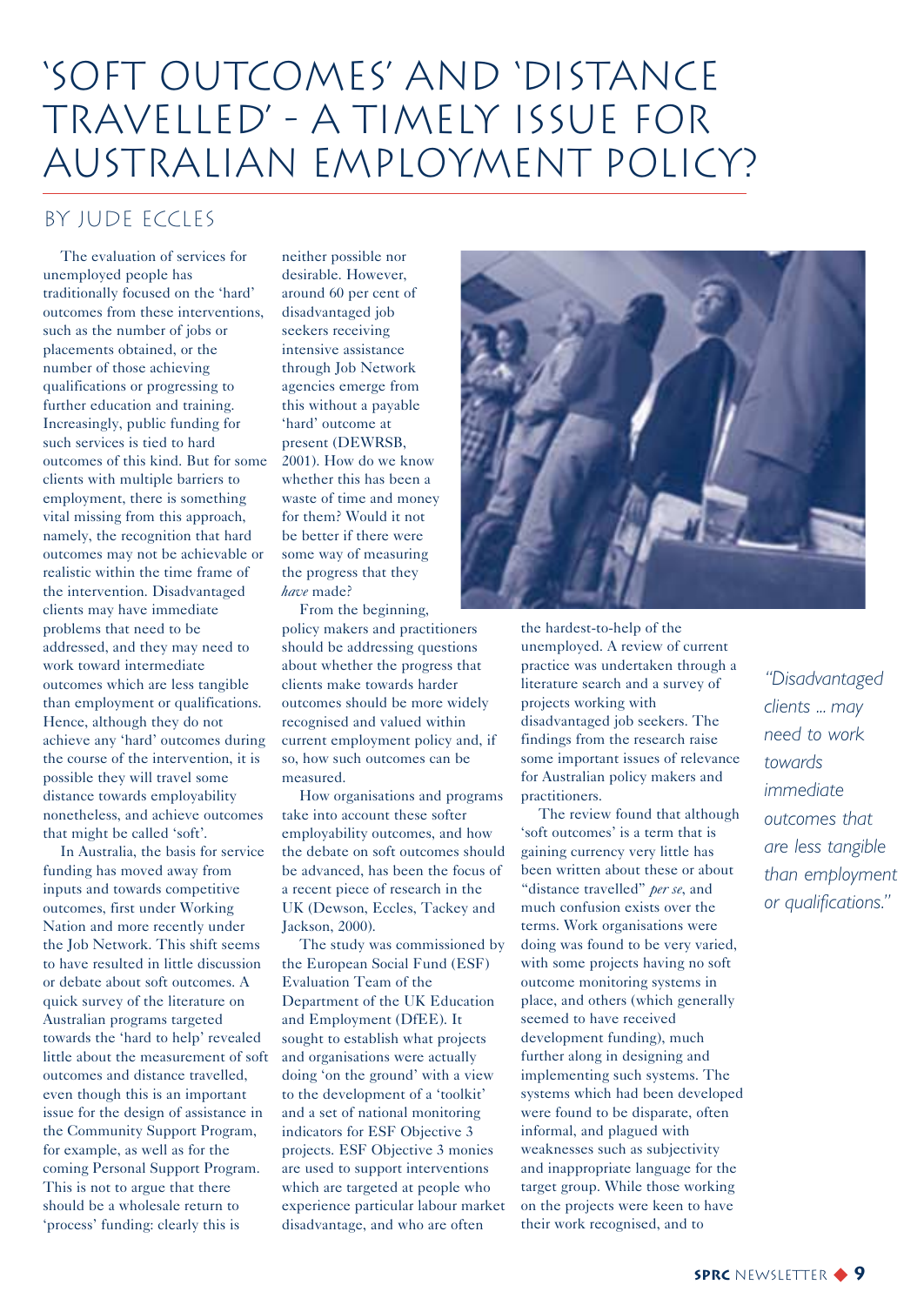### 'Soft Outcomes' and 'Distance Travelled' - A Timely Issue for Australian Employment Policy?

### by Jude Eccles

The evaluation of services for unemployed people has traditionally focused on the 'hard' outcomes from these interventions, such as the number of jobs or placements obtained, or the number of those achieving qualifications or progressing to further education and training. Increasingly, public funding for such services is tied to hard outcomes of this kind. But for some clients with multiple barriers to employment, there is something vital missing from this approach, namely, the recognition that hard outcomes may not be achievable or realistic within the time frame of the intervention. Disadvantaged clients may have immediate problems that need to be addressed, and they may need to work toward intermediate outcomes which are less tangible than employment or qualifications. Hence, although they do not achieve any 'hard' outcomes during the course of the intervention, it is possible they will travel some distance towards employability nonetheless, and achieve outcomes that might be called 'soft'.

In Australia, the basis for service funding has moved away from inputs and towards competitive outcomes, first under Working Nation and more recently under the Job Network. This shift seems to have resulted in little discussion or debate about soft outcomes. A quick survey of the literature on Australian programs targeted towards the 'hard to help' revealed little about the measurement of soft outcomes and distance travelled, even though this is an important issue for the design of assistance in the Community Support Program, for example, as well as for the coming Personal Support Program. This is not to argue that there should be a wholesale return to 'process' funding: clearly this is

neither possible nor desirable. However, around 60 per cent of disadvantaged job seekers receiving intensive assistance through Job Network agencies emerge from this without a payable 'hard' outcome at present (DEWRSB, 2001). How do we know whether this has been a waste of time and money for them? Would it not be better if there were some way of measuring the progress that they *have* made?

From the beginning, policy makers and practitioners should be addressing questions about whether the progress that clients make towards harder outcomes should be more widely recognised and valued within current employment policy and, if so, how such outcomes can be measured.

How organisations and programs take into account these softer employability outcomes, and how the debate on soft outcomes should be advanced, has been the focus of a recent piece of research in the UK (Dewson, Eccles, Tackey and Jackson, 2000).

The study was commissioned by the European Social Fund (ESF) Evaluation Team of the Department of the UK Education and Employment (DfEE). It sought to establish what projects and organisations were actually doing 'on the ground' with a view to the development of a 'toolkit' and a set of national monitoring indicators for ESF Objective 3 projects. ESF Objective 3 monies are used to support interventions which are targeted at people who experience particular labour market disadvantage, and who are often



the hardest-to-help of the unemployed. A review of current practice was undertaken through a literature search and a survey of projects working with disadvantaged job seekers. The findings from the research raise some important issues of relevance for Australian policy makers and practitioners.

The review found that although 'soft outcomes' is a term that is gaining currency very little has been written about these or about "distance travelled" *per se*, and much confusion exists over the terms. Work organisations were doing was found to be very varied, with some projects having no soft outcome monitoring systems in place, and others (which generally seemed to have received development funding), much further along in designing and implementing such systems. The systems which had been developed were found to be disparate, often informal, and plagued with weaknesses such as subjectivity and inappropriate language for the target group. While those working on the projects were keen to have their work recognised, and to

*"Disadvantaged clients ... may need to work towards immediate outcomes that are less tangible than employment or qualifications."*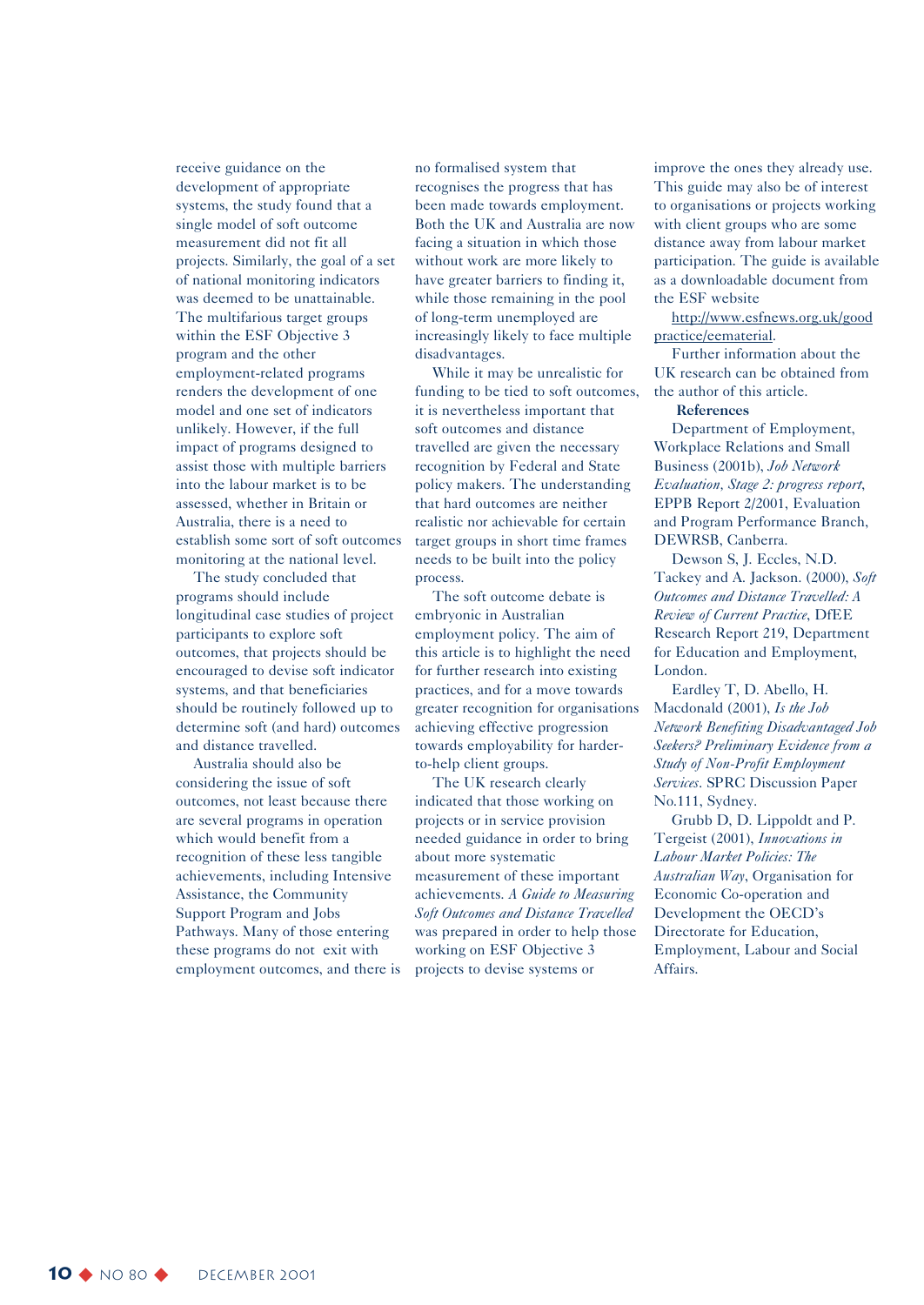receive guidance on the development of appropriate systems, the study found that a single model of soft outcome measurement did not fit all projects. Similarly, the goal of a set of national monitoring indicators was deemed to be unattainable. The multifarious target groups within the ESF Objective 3 program and the other employment-related programs renders the development of one model and one set of indicators unlikely. However, if the full impact of programs designed to assist those with multiple barriers into the labour market is to be assessed, whether in Britain or Australia, there is a need to establish some sort of soft outcomes monitoring at the national level.

The study concluded that programs should include longitudinal case studies of project participants to explore soft outcomes, that projects should be encouraged to devise soft indicator systems, and that beneficiaries should be routinely followed up to determine soft (and hard) outcomes and distance travelled.

Australia should also be considering the issue of soft outcomes, not least because there are several programs in operation which would benefit from a recognition of these less tangible achievements, including Intensive Assistance, the Community Support Program and Jobs Pathways. Many of those entering these programs do not exit with employment outcomes, and there is no formalised system that recognises the progress that has been made towards employment. Both the UK and Australia are now facing a situation in which those without work are more likely to have greater barriers to finding it, while those remaining in the pool of long-term unemployed are increasingly likely to face multiple disadvantages.

While it may be unrealistic for funding to be tied to soft outcomes, it is nevertheless important that soft outcomes and distance travelled are given the necessary recognition by Federal and State policy makers. The understanding that hard outcomes are neither realistic nor achievable for certain target groups in short time frames needs to be built into the policy process.

The soft outcome debate is embryonic in Australian employment policy. The aim of this article is to highlight the need for further research into existing practices, and for a move towards greater recognition for organisations achieving effective progression towards employability for harderto-help client groups.

The UK research clearly indicated that those working on projects or in service provision needed guidance in order to bring about more systematic measurement of these important achievements. *A Guide to Measuring Soft Outcomes and Distance Travelled* was prepared in order to help those working on ESF Objective 3 projects to devise systems or

improve the ones they already use. This guide may also be of interest to organisations or projects working with client groups who are some distance away from labour market participation. The guide is available as a downloadable document from the ESF website

http://www.esfnews.org.uk/good practice/eematerial.

Further information about the UK research can be obtained from the author of this article.

#### **References**

Department of Employment, Workplace Relations and Small Business (2001b), *Job Network Evaluation, Stage 2: progress report*, EPPB Report 2/2001, Evaluation and Program Performance Branch, DEWRSB, Canberra.

Dewson S, J. Eccles, N.D. Tackey and A. Jackson. (2000), *Soft Outcomes and Distance Travelled: A Review of Current Practice*, DfEE Research Report 219, Department for Education and Employment, London.

Eardley T, D. Abello, H. Macdonald (2001), *Is the Job Network Benefiting Disadvantaged Job Seekers? Preliminary Evidence from a Study of Non-Profit Employment Services*. SPRC Discussion Paper No.111, Sydney.

Grubb D, D. Lippoldt and P. Tergeist (2001), *Innovations in Labour Market Policies: The Australian Way*, Organisation for Economic Co-operation and Development the OECD's Directorate for Education, Employment, Labour and Social Affairs.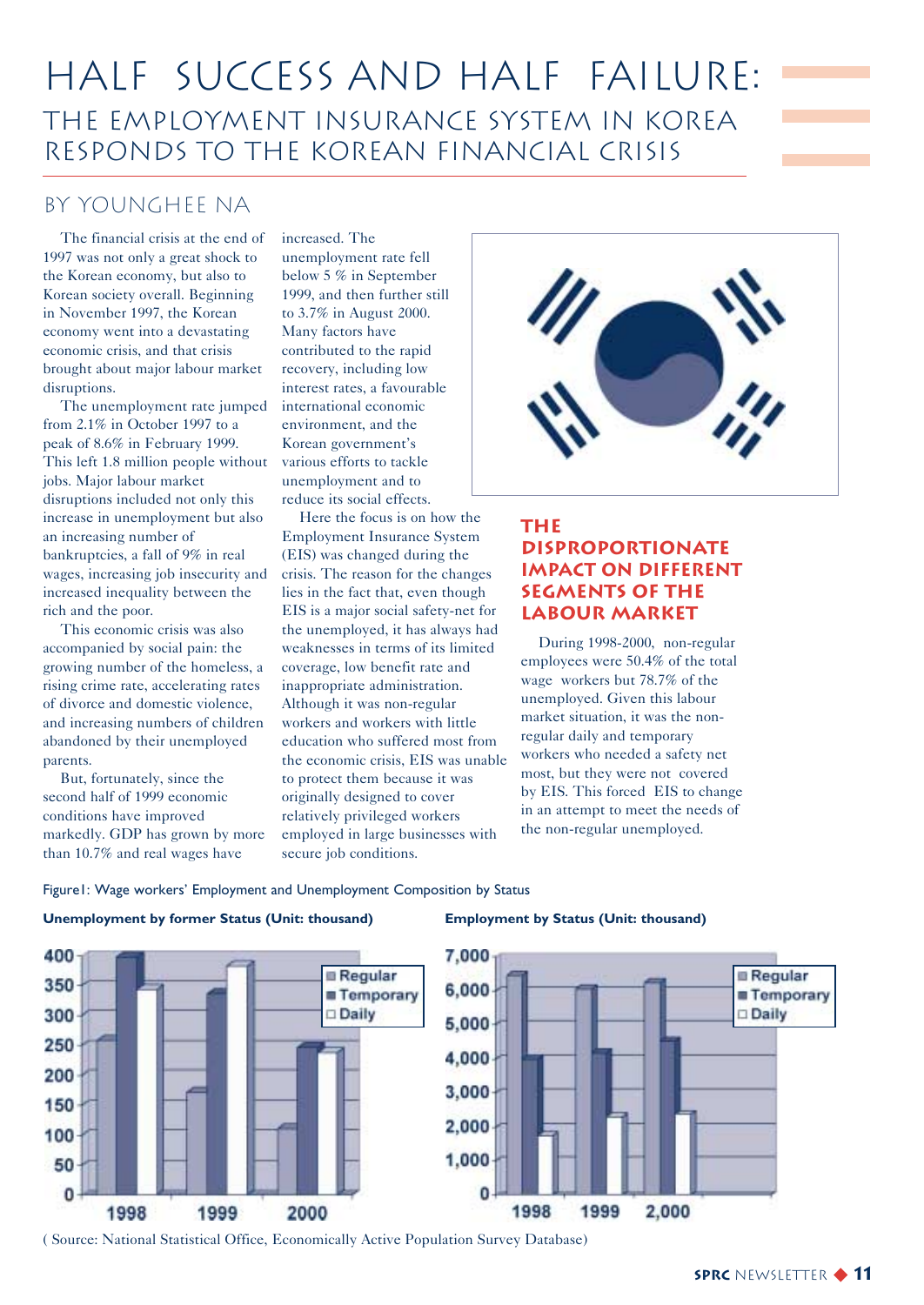### Half Success and Half Failure: The Employment Insurance System in Korea Responds to the Korean Financial Crisis

### by Younghee Na

The financial crisis at the end of 1997 was not only a great shock to the Korean economy, but also to Korean society overall. Beginning in November 1997, the Korean economy went into a devastating economic crisis, and that crisis brought about major labour market disruptions.

The unemployment rate jumped from 2.1% in October 1997 to a peak of 8.6% in February 1999. This left 1.8 million people without jobs. Major labour market disruptions included not only this increase in unemployment but also an increasing number of bankruptcies, a fall of 9% in real wages, increasing job insecurity and increased inequality between the rich and the poor.

This economic crisis was also accompanied by social pain: the growing number of the homeless, a rising crime rate, accelerating rates of divorce and domestic violence, and increasing numbers of children abandoned by their unemployed parents.

But, fortunately, since the second half of 1999 economic conditions have improved markedly. GDP has grown by more than 10.7% and real wages have

increased. The unemployment rate fell below 5 % in September 1999, and then further still to 3.7% in August 2000. Many factors have contributed to the rapid recovery, including low interest rates, a favourable international economic environment, and the Korean government's various efforts to tackle unemployment and to reduce its social effects.

Here the focus is on how the Employment Insurance System (EIS) was changed during the crisis. The reason for the changes lies in the fact that, even though EIS is a major social safety-net for the unemployed, it has always had weaknesses in terms of its limited coverage, low benefit rate and inappropriate administration. Although it was non-regular workers and workers with little education who suffered most from the economic crisis, EIS was unable to protect them because it was originally designed to cover relatively privileged workers employed in large businesses with secure job conditions.



### **The Disproportionate Impact on Different Segments of the Labour Market**

During 1998-2000, non-regular employees were 50.4% of the total wage workers but 78.7% of the unemployed. Given this labour market situation, it was the nonregular daily and temporary workers who needed a safety net most, but they were not covered by EIS. This forced EIS to change in an attempt to meet the needs of the non-regular unemployed.

#### Figure1: Wage workers' Employment and Unemployment Composition by Status







( Source: National Statistical Office, Economically Active Population Survey Database)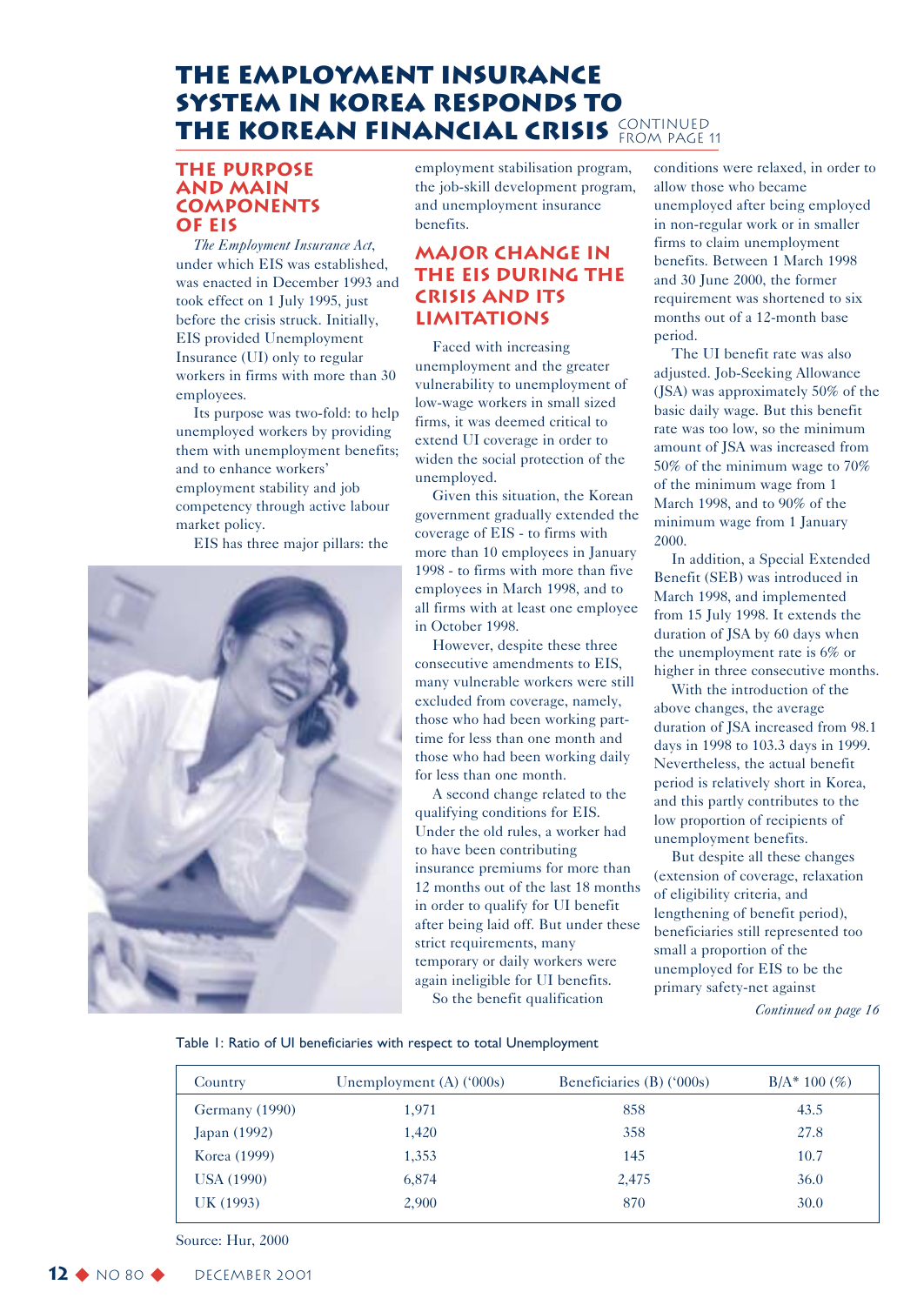### **The Employment Insurance System in Korea Responds to** THE KOREAN FINANCIAL CRISIS CONTINUED

### **The Purpose and Main Components of EIS**

*The Employment Insurance Act*, under which EIS was established, was enacted in December 1993 and took effect on 1 July 1995, just before the crisis struck. Initially, EIS provided Unemployment Insurance (UI) only to regular workers in firms with more than 30 employees.

Its purpose was two-fold: to help unemployed workers by providing them with unemployment benefits; and to enhance workers' employment stability and job competency through active labour market policy.

EIS has three major pillars: the



employment stabilisation program, the job-skill development program, and unemployment insurance benefits.

### **Major Change in the EIS during the Crisis and Its Limitations**

Faced with increasing unemployment and the greater vulnerability to unemployment of low-wage workers in small sized firms, it was deemed critical to extend UI coverage in order to widen the social protection of the unemployed.

Given this situation, the Korean government gradually extended the coverage of EIS - to firms with more than 10 employees in January 1998 - to firms with more than five employees in March 1998, and to all firms with at least one employee in October 1998.

However, despite these three consecutive amendments to EIS, many vulnerable workers were still excluded from coverage, namely, those who had been working parttime for less than one month and those who had been working daily for less than one month.

A second change related to the qualifying conditions for EIS. Under the old rules, a worker had to have been contributing insurance premiums for more than 12 months out of the last 18 months in order to qualify for UI benefit after being laid off. But under these strict requirements, many temporary or daily workers were again ineligible for UI benefits.

So the benefit qualification

conditions were relaxed, in order to allow those who became unemployed after being employed in non-regular work or in smaller firms to claim unemployment benefits. Between 1 March 1998 and 30 June 2000, the former requirement was shortened to six months out of a 12-month base period.

The UI benefit rate was also adjusted. Job-Seeking Allowance (JSA) was approximately 50% of the basic daily wage. But this benefit rate was too low, so the minimum amount of JSA was increased from 50% of the minimum wage to 70% of the minimum wage from 1 March 1998, and to 90% of the minimum wage from 1 January 2000.

In addition, a Special Extended Benefit (SEB) was introduced in March 1998, and implemented from 15 July 1998. It extends the duration of JSA by 60 days when the unemployment rate is 6% or higher in three consecutive months.

With the introduction of the above changes, the average duration of JSA increased from 98.1 days in 1998 to 103.3 days in 1999. Nevertheless, the actual benefit period is relatively short in Korea, and this partly contributes to the low proportion of recipients of unemployment benefits.

But despite all these changes (extension of coverage, relaxation of eligibility criteria, and lengthening of benefit period), beneficiaries still represented too small a proportion of the unemployed for EIS to be the primary safety-net against

*Continued on page 16*

Table 1: Ratio of UI beneficiaries with respect to total Unemployment

| Country           | Unemployment $(A)$ ('000s) | Beneficiaries (B) ('000s) | $B/A^*$ 100 $(\%)$ |
|-------------------|----------------------------|---------------------------|--------------------|
| Germany (1990)    | 1,971                      | 858                       | 43.5               |
| Japan (1992)      | 1,420                      | 358                       | 27.8               |
| Korea (1999)      | 1,353                      | 145                       | 10.7               |
| <b>USA</b> (1990) | 6,874                      | 2,475                     | 36.0               |
| UK (1993)         | 2,900                      | 870                       | 30.0               |

Source: Hur, 2000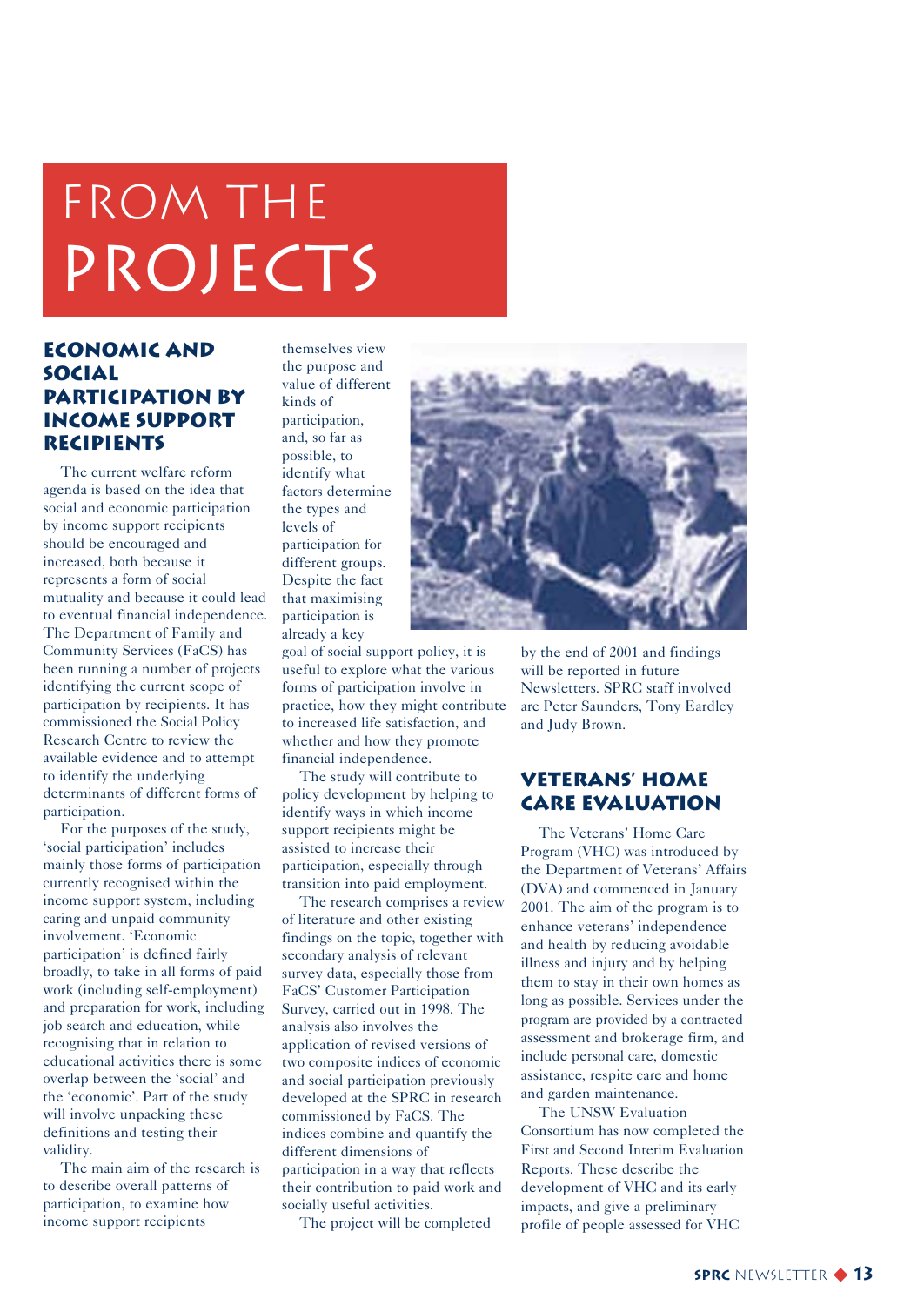## FROM THE PROJECTS

### **Economic and Social Participation by Income Support Recipients**

The current welfare reform agenda is based on the idea that social and economic participation by income support recipients should be encouraged and increased, both because it represents a form of social mutuality and because it could lead to eventual financial independence. The Department of Family and Community Services (FaCS) has been running a number of projects identifying the current scope of participation by recipients. It has commissioned the Social Policy Research Centre to review the available evidence and to attempt to identify the underlying determinants of different forms of participation.

For the purposes of the study, 'social participation' includes mainly those forms of participation currently recognised within the income support system, including caring and unpaid community involvement. 'Economic participation' is defined fairly broadly, to take in all forms of paid work (including self-employment) and preparation for work, including job search and education, while recognising that in relation to educational activities there is some overlap between the 'social' and the 'economic'. Part of the study will involve unpacking these definitions and testing their validity.

The main aim of the research is to describe overall patterns of participation, to examine how income support recipients

themselves view the purpose and value of different kinds of participation, and, so far as possible, to identify what factors determine the types and levels of participation for different groups. Despite the fact that maximising participation is already a key

goal of social support policy, it is useful to explore what the various forms of participation involve in practice, how they might contribute to increased life satisfaction, and whether and how they promote financial independence.

The study will contribute to policy development by helping to identify ways in which income support recipients might be assisted to increase their participation, especially through transition into paid employment.

The research comprises a review of literature and other existing findings on the topic, together with secondary analysis of relevant survey data, especially those from FaCS' Customer Participation Survey, carried out in 1998. The analysis also involves the application of revised versions of two composite indices of economic and social participation previously developed at the SPRC in research commissioned by FaCS. The indices combine and quantify the different dimensions of participation in a way that reflects their contribution to paid work and socially useful activities.

The project will be completed



by the end of 2001 and findings will be reported in future Newsletters. SPRC staff involved are Peter Saunders, Tony Eardley and Judy Brown.

### **Veterans' Home Care Evaluation**

The Veterans' Home Care Program (VHC) was introduced by the Department of Veterans' Affairs (DVA) and commenced in January 2001. The aim of the program is to enhance veterans' independence and health by reducing avoidable illness and injury and by helping them to stay in their own homes as long as possible. Services under the program are provided by a contracted assessment and brokerage firm, and include personal care, domestic assistance, respite care and home and garden maintenance.

The UNSW Evaluation Consortium has now completed the First and Second Interim Evaluation Reports. These describe the development of VHC and its early impacts, and give a preliminary profile of people assessed for VHC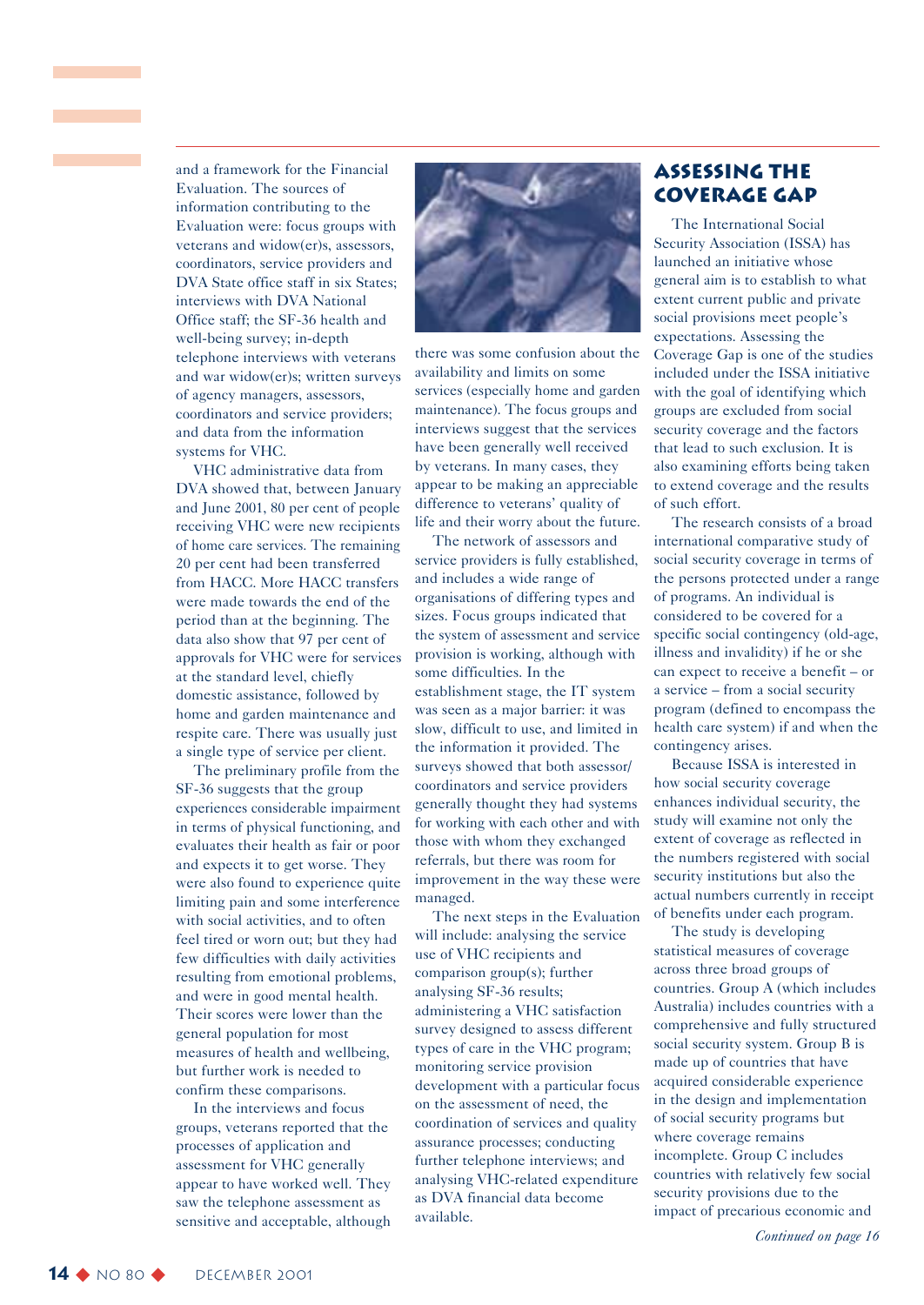and a framework for the Financial Evaluation. The sources of information contributing to the Evaluation were: focus groups with veterans and widow(er)s, assessors, coordinators, service providers and DVA State office staff in six States; interviews with DVA National Office staff; the SF-36 health and well-being survey; in-depth telephone interviews with veterans and war widow(er)s; written surveys of agency managers, assessors, coordinators and service providers; and data from the information systems for VHC.

VHC administrative data from DVA showed that, between January and June 2001, 80 per cent of people receiving VHC were new recipients of home care services. The remaining 20 per cent had been transferred from HACC. More HACC transfers were made towards the end of the period than at the beginning. The data also show that 97 per cent of approvals for VHC were for services at the standard level, chiefly domestic assistance, followed by home and garden maintenance and respite care. There was usually just a single type of service per client.

The preliminary profile from the SF-36 suggests that the group experiences considerable impairment in terms of physical functioning, and evaluates their health as fair or poor and expects it to get worse. They were also found to experience quite limiting pain and some interference with social activities, and to often feel tired or worn out; but they had few difficulties with daily activities resulting from emotional problems, and were in good mental health. Their scores were lower than the general population for most measures of health and wellbeing, but further work is needed to confirm these comparisons.

In the interviews and focus groups, veterans reported that the processes of application and assessment for VHC generally appear to have worked well. They saw the telephone assessment as sensitive and acceptable, although



there was some confusion about the availability and limits on some services (especially home and garden maintenance). The focus groups and interviews suggest that the services have been generally well received by veterans. In many cases, they appear to be making an appreciable difference to veterans' quality of life and their worry about the future.

The network of assessors and service providers is fully established, and includes a wide range of organisations of differing types and sizes. Focus groups indicated that the system of assessment and service provision is working, although with some difficulties. In the establishment stage, the IT system was seen as a major barrier: it was slow, difficult to use, and limited in the information it provided. The surveys showed that both assessor/ coordinators and service providers generally thought they had systems for working with each other and with those with whom they exchanged referrals, but there was room for improvement in the way these were managed.

The next steps in the Evaluation will include: analysing the service use of VHC recipients and comparison group(s); further analysing SF-36 results; administering a VHC satisfaction survey designed to assess different types of care in the VHC program; monitoring service provision development with a particular focus on the assessment of need, the coordination of services and quality assurance processes; conducting further telephone interviews; and analysing VHC-related expenditure as DVA financial data become available.

### **Assessing the Coverage Gap**

The International Social Security Association (ISSA) has launched an initiative whose general aim is to establish to what extent current public and private social provisions meet people's expectations. Assessing the Coverage Gap is one of the studies included under the ISSA initiative with the goal of identifying which groups are excluded from social security coverage and the factors that lead to such exclusion. It is also examining efforts being taken to extend coverage and the results of such effort.

The research consists of a broad international comparative study of social security coverage in terms of the persons protected under a range of programs. An individual is considered to be covered for a specific social contingency (old-age, illness and invalidity) if he or she can expect to receive a benefit – or a service – from a social security program (defined to encompass the health care system) if and when the contingency arises.

Because ISSA is interested in how social security coverage enhances individual security, the study will examine not only the extent of coverage as reflected in the numbers registered with social security institutions but also the actual numbers currently in receipt of benefits under each program.

The study is developing statistical measures of coverage across three broad groups of countries. Group A (which includes Australia) includes countries with a comprehensive and fully structured social security system. Group B is made up of countries that have acquired considerable experience in the design and implementation of social security programs but where coverage remains incomplete. Group C includes countries with relatively few social security provisions due to the impact of precarious economic and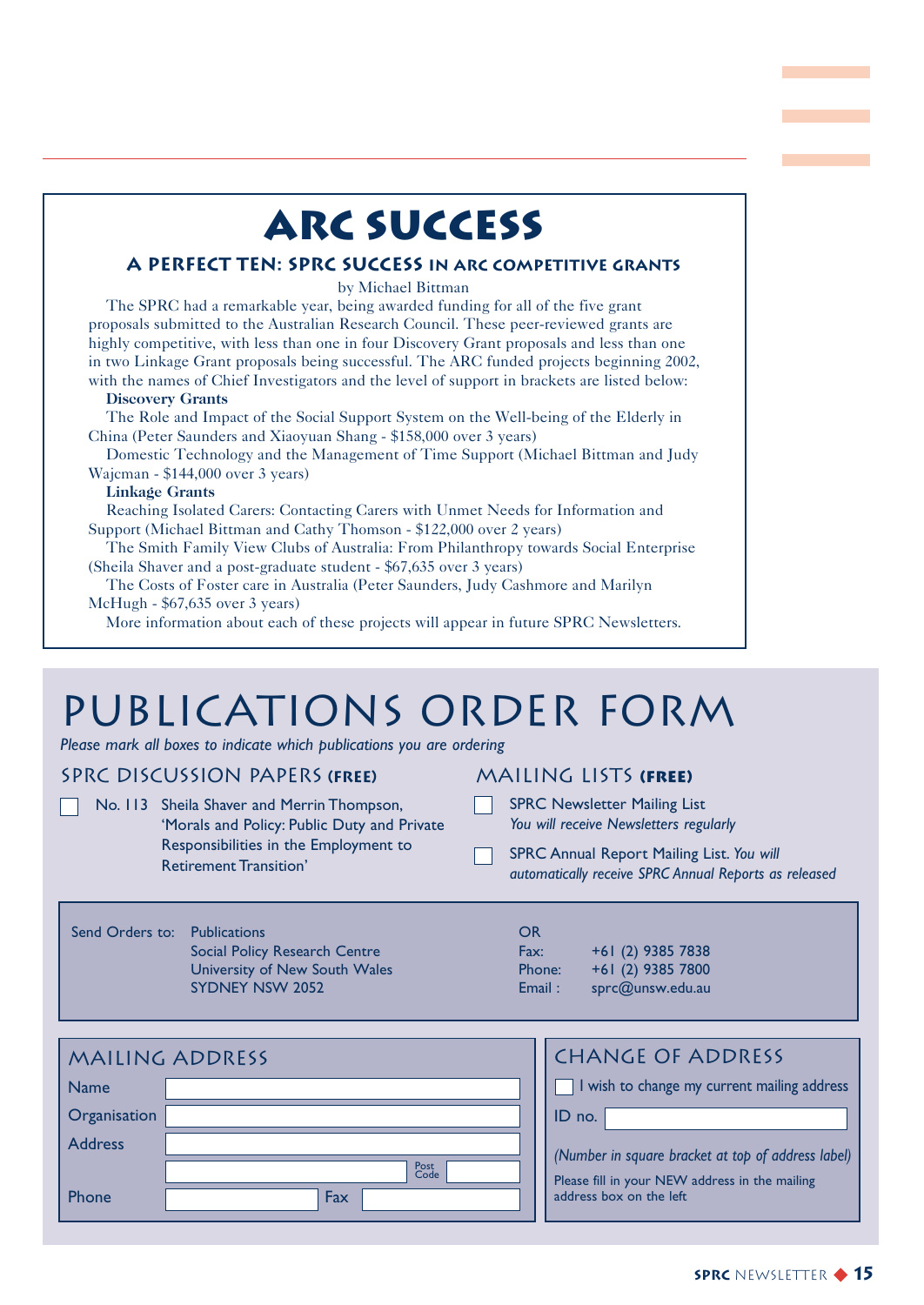### **ARC Success**

### **A Perfect Ten: SPRC Success in ARC Competitive Grants**

#### by Michael Bittman

The SPRC had a remarkable year, being awarded funding for all of the five grant proposals submitted to the Australian Research Council. These peer-reviewed grants are highly competitive, with less than one in four Discovery Grant proposals and less than one in two Linkage Grant proposals being successful. The ARC funded projects beginning 2002, with the names of Chief Investigators and the level of support in brackets are listed below:

#### **Discovery Grants**

The Role and Impact of the Social Support System on the Well-being of the Elderly in China (Peter Saunders and Xiaoyuan Shang - \$158,000 over 3 years)

Domestic Technology and the Management of Time Support (Michael Bittman and Judy Wajcman - \$144,000 over 3 years)

#### **Linkage Grants**

Reaching Isolated Carers: Contacting Carers with Unmet Needs for Information and Support (Michael Bittman and Cathy Thomson - \$122,000 over 2 years)

The Smith Family View Clubs of Australia: From Philanthropy towards Social Enterprise (Sheila Shaver and a post-graduate student - \$67,635 over 3 years)

The Costs of Foster care in Australia (Peter Saunders, Judy Cashmore and Marilyn McHugh - \$67,635 over 3 years)

More information about each of these projects will appear in future SPRC Newsletters.

### publications order form

*Please mark all boxes to indicate which publications you are ordering*

### SPRC discussion Papers **(Free)**

|  | No. 113 Sheila Shaver and Merrin Thompson,                             |  |
|--|------------------------------------------------------------------------|--|
|  | 'Morals and Policy: Public Duty and Private                            |  |
|  | Responsibilities in the Employment to<br><b>Retirement Transition'</b> |  |
|  |                                                                        |  |

### Mailing Lists **(free)**

- SPRC Newsletter Mailing List *You will receive Newsletters regularly*
- SPRC Annual Report Mailing List. *You will automatically receive SPRC Annual Reports as released*

### Send Orders to: Publications Social Policy Research Centre University of New South Wales SYDNEY NSW 2052

| OR     |                   |
|--------|-------------------|
| Fax:   | +61 (2) 9385 7838 |
| Phone: | +61 (2) 9385 7800 |
| . .    |                   |

C<br>Fa

Email : sprc@unsw.edu.au

|                | <b>MAILING ADDRESS</b> | <b>CHANGE OF ADDRESS</b>                           |
|----------------|------------------------|----------------------------------------------------|
| <b>Name</b>    |                        | I wish to change my current mailing address        |
| Organisation   |                        | ID no.                                             |
| <b>Address</b> |                        | (Number in square bracket at top of address label) |
|                | <b>Post</b><br>Code    | Please fill in your NEW address in the mailing     |
| Phone          | Fax                    | address box on the left                            |